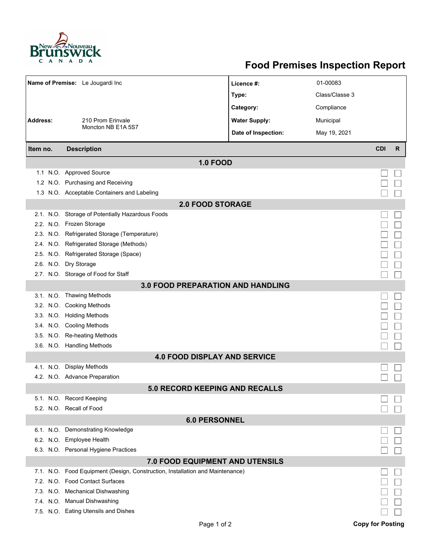

## **Food Premises Inspection Report**

|                                          | Name of Premise: Le Jougardi Inc                                              | Licence #:           | 01-00083       |                         |   |  |  |  |
|------------------------------------------|-------------------------------------------------------------------------------|----------------------|----------------|-------------------------|---|--|--|--|
|                                          |                                                                               | Type:                | Class/Classe 3 |                         |   |  |  |  |
|                                          |                                                                               | Category:            | Compliance     |                         |   |  |  |  |
| <b>Address:</b>                          | 210 Prom Erinvale                                                             | <b>Water Supply:</b> | Municipal      |                         |   |  |  |  |
|                                          | Moncton NB E1A 5S7                                                            | Date of Inspection:  | May 19, 2021   |                         |   |  |  |  |
| Item no.                                 | <b>Description</b>                                                            |                      |                | <b>CDI</b>              | R |  |  |  |
|                                          |                                                                               |                      |                |                         |   |  |  |  |
|                                          |                                                                               | <b>1.0 FOOD</b>      |                |                         |   |  |  |  |
|                                          | 1.1 N.O. Approved Source                                                      |                      |                |                         |   |  |  |  |
|                                          | 1.2 N.O. Purchasing and Receiving                                             |                      |                |                         |   |  |  |  |
|                                          | 1.3 N.O. Acceptable Containers and Labeling                                   |                      |                |                         |   |  |  |  |
| <b>2.0 FOOD STORAGE</b>                  |                                                                               |                      |                |                         |   |  |  |  |
|                                          | 2.1. N.O. Storage of Potentially Hazardous Foods                              |                      |                |                         |   |  |  |  |
|                                          | 2.2. N.O. Frozen Storage                                                      |                      |                |                         |   |  |  |  |
|                                          | 2.3. N.O. Refrigerated Storage (Temperature)                                  |                      |                |                         |   |  |  |  |
|                                          | 2.4. N.O. Refrigerated Storage (Methods)                                      |                      |                |                         |   |  |  |  |
|                                          | 2.5. N.O. Refrigerated Storage (Space)                                        |                      |                |                         |   |  |  |  |
|                                          | 2.6. N.O. Dry Storage                                                         |                      |                |                         |   |  |  |  |
|                                          | 2.7. N.O. Storage of Food for Staff                                           |                      |                |                         |   |  |  |  |
| <b>3.0 FOOD PREPARATION AND HANDLING</b> |                                                                               |                      |                |                         |   |  |  |  |
|                                          | 3.1. N.O. Thawing Methods                                                     |                      |                |                         |   |  |  |  |
|                                          | 3.2. N.O. Cooking Methods                                                     |                      |                |                         |   |  |  |  |
|                                          | 3.3. N.O. Holding Methods                                                     |                      |                |                         |   |  |  |  |
|                                          | 3.4. N.O. Cooling Methods                                                     |                      |                |                         |   |  |  |  |
|                                          | 3.5. N.O. Re-heating Methods                                                  |                      |                |                         |   |  |  |  |
|                                          | 3.6. N.O. Handling Methods                                                    |                      |                |                         |   |  |  |  |
| <b>4.0 FOOD DISPLAY AND SERVICE</b>      |                                                                               |                      |                |                         |   |  |  |  |
|                                          | 4.1. N.O. Display Methods                                                     |                      |                |                         |   |  |  |  |
|                                          | 4.2. N.O. Advance Preparation                                                 |                      |                |                         |   |  |  |  |
| <b>5.0 RECORD KEEPING AND RECALLS</b>    |                                                                               |                      |                |                         |   |  |  |  |
|                                          | 5.1. N.O. Record Keeping                                                      |                      |                |                         |   |  |  |  |
|                                          | 5.2. N.O. Recall of Food                                                      |                      |                |                         |   |  |  |  |
| <b>6.0 PERSONNEL</b>                     |                                                                               |                      |                |                         |   |  |  |  |
|                                          | 6.1. N.O. Demonstrating Knowledge                                             |                      |                |                         |   |  |  |  |
|                                          | 6.2. N.O. Employee Health                                                     |                      |                |                         |   |  |  |  |
|                                          | 6.3. N.O. Personal Hygiene Practices                                          |                      |                |                         |   |  |  |  |
| <b>7.0 FOOD EQUIPMENT AND UTENSILS</b>   |                                                                               |                      |                |                         |   |  |  |  |
|                                          | 7.1. N.O. Food Equipment (Design, Construction, Installation and Maintenance) |                      |                |                         |   |  |  |  |
|                                          | 7.2. N.O. Food Contact Surfaces                                               |                      |                |                         |   |  |  |  |
|                                          | 7.3. N.O. Mechanical Dishwashing                                              |                      |                |                         |   |  |  |  |
|                                          | 7.4. N.O. Manual Dishwashing                                                  |                      |                |                         |   |  |  |  |
|                                          | 7.5. N.O. Eating Utensils and Dishes                                          |                      |                |                         |   |  |  |  |
|                                          |                                                                               | Page 1 of 2          |                | <b>Copy for Posting</b> |   |  |  |  |